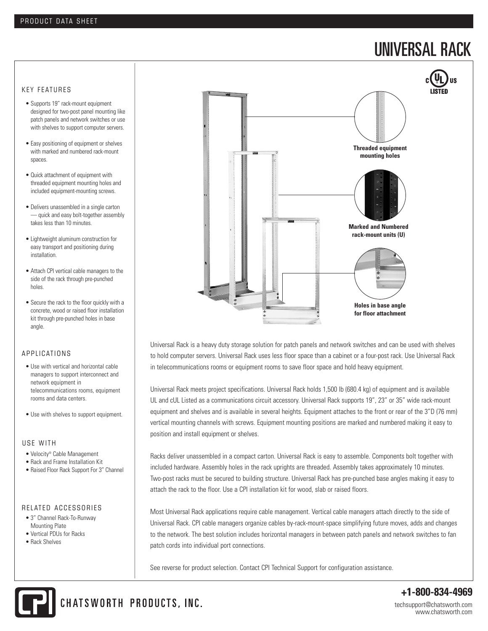# UNIVERSAL RACK

### KEY FEATURES

- Supports 19" rack-mount equipment designed for two-post panel mounting like patch panels and network switches or use with shelves to support computer servers.
- Easy positioning of equipment or shelves with marked and numbered rack-mount spaces.
- Quick attachment of equipment with threaded equipment mounting holes and included equipment-mounting screws.
- Delivers unassembled in a single carton — quick and easy bolt-together assembly takes less than 10 minutes.
- Lightweight aluminum construction for easy transport and positioning during installation.
- Attach CPI vertical cable managers to the side of the rack through pre-punched holes.
- Secure the rack to the floor quickly with a concrete, wood or raised floor installation kit through pre-punched holes in base angle.

## A P P LICATIONS

- Use with vertical and horizontal cable managers to support interconnect and network equipment in telecommunications rooms, equipment rooms and data centers.
- Use with shelves to support equipment.

#### USE WITH

- Velocity® Cable Management
- Rack and Frame Installation Kit
- Raised Floor Rack Support For 3" Channel

# RELATED ACCESSORIES

- 3" Channel Rack-To-Runway Mounting Plate
- Vertical PDUs for Racks • Rack Shelves



Universal Rack is a heavy duty storage solution for patch panels and network switches and can be used with shelves to hold computer servers. Universal Rack uses less floor space than a cabinet or a four-post rack. Use Universal Rack in telecommunications rooms or equipment rooms to save floor space and hold heavy equipment.

Universal Rack meets project specifications. Universal Rack holds 1,500 lb (680.4 kg) of equipment and is available UL and cUL Listed as a communications circuit accessory. Universal Rack supports 19", 23" or 35" wide rack-mount equipment and shelves and is available in several heights. Equipment attaches to the front or rear of the 3"D (76 mm) vertical mounting channels with screws. Equipment mounting positions are marked and numbered making it easy to position and install equipment or shelves.

Racks deliver unassembled in a compact carton. Universal Rack is easy to assemble. Components bolt together with included hardware. Assembly holes in the rack uprights are threaded. Assembly takes approximately 10 minutes. Two-post racks must be secured to building structure. Universal Rack has pre-punched base angles making it easy to attach the rack to the floor. Use a CPI installation kit for wood, slab or raised floors.

Most Universal Rack applications require cable management. Vertical cable managers attach directly to the side of Universal Rack. CPI cable managers organize cables by-rack-mount-space simplifying future moves, adds and changes to the network. The best solution includes horizontal managers in between patch panels and network switches to fan patch cords into individual port connections.

See reverse for product selection. Contact CPI Technical Support for configuration assistance.



**+1-800-834-4969** techsupport@chatsworth.com www.chatsworth.com